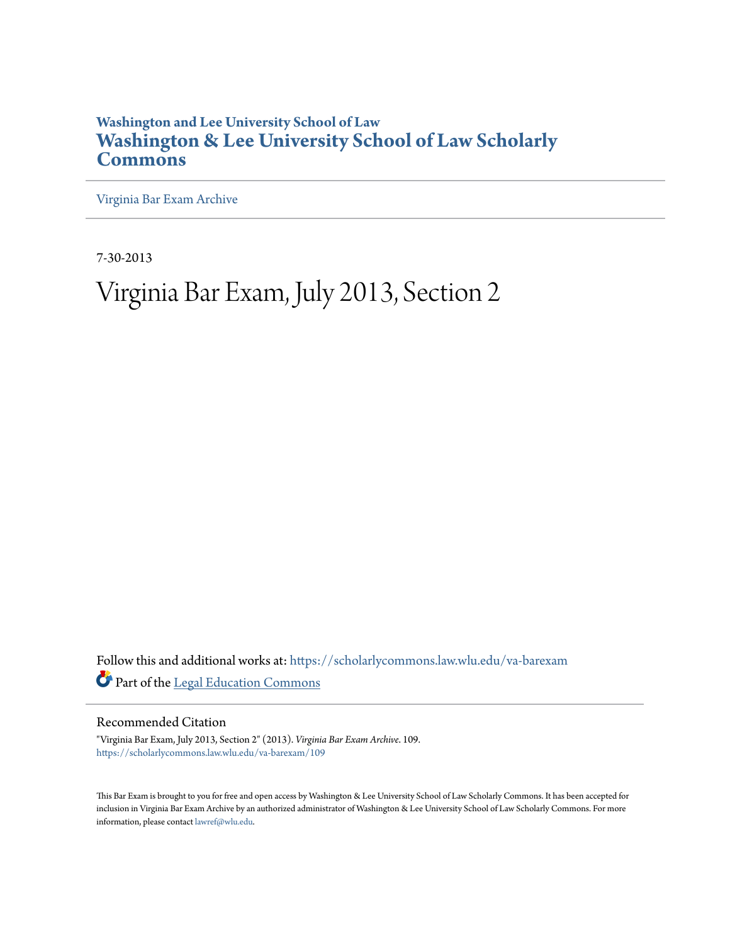# **Washington and Lee University School of Law [Washington & Lee University School of Law Scholarly](https://scholarlycommons.law.wlu.edu?utm_source=scholarlycommons.law.wlu.edu%2Fva-barexam%2F109&utm_medium=PDF&utm_campaign=PDFCoverPages) [Commons](https://scholarlycommons.law.wlu.edu?utm_source=scholarlycommons.law.wlu.edu%2Fva-barexam%2F109&utm_medium=PDF&utm_campaign=PDFCoverPages)**

[Virginia Bar Exam Archive](https://scholarlycommons.law.wlu.edu/va-barexam?utm_source=scholarlycommons.law.wlu.edu%2Fva-barexam%2F109&utm_medium=PDF&utm_campaign=PDFCoverPages)

7-30-2013

# Virginia Bar Exam, July 2013, Section 2

Follow this and additional works at: [https://scholarlycommons.law.wlu.edu/va-barexam](https://scholarlycommons.law.wlu.edu/va-barexam?utm_source=scholarlycommons.law.wlu.edu%2Fva-barexam%2F109&utm_medium=PDF&utm_campaign=PDFCoverPages) Part of the [Legal Education Commons](http://network.bepress.com/hgg/discipline/857?utm_source=scholarlycommons.law.wlu.edu%2Fva-barexam%2F109&utm_medium=PDF&utm_campaign=PDFCoverPages)

Recommended Citation

"Virginia Bar Exam, July 2013, Section 2" (2013). *Virginia Bar Exam Archive*. 109. [https://scholarlycommons.law.wlu.edu/va-barexam/109](https://scholarlycommons.law.wlu.edu/va-barexam/109?utm_source=scholarlycommons.law.wlu.edu%2Fva-barexam%2F109&utm_medium=PDF&utm_campaign=PDFCoverPages)

This Bar Exam is brought to you for free and open access by Washington & Lee University School of Law Scholarly Commons. It has been accepted for inclusion in Virginia Bar Exam Archive by an authorized administrator of Washington & Lee University School of Law Scholarly Commons. For more information, please contact [lawref@wlu.edu](mailto:lawref@wlu.edu).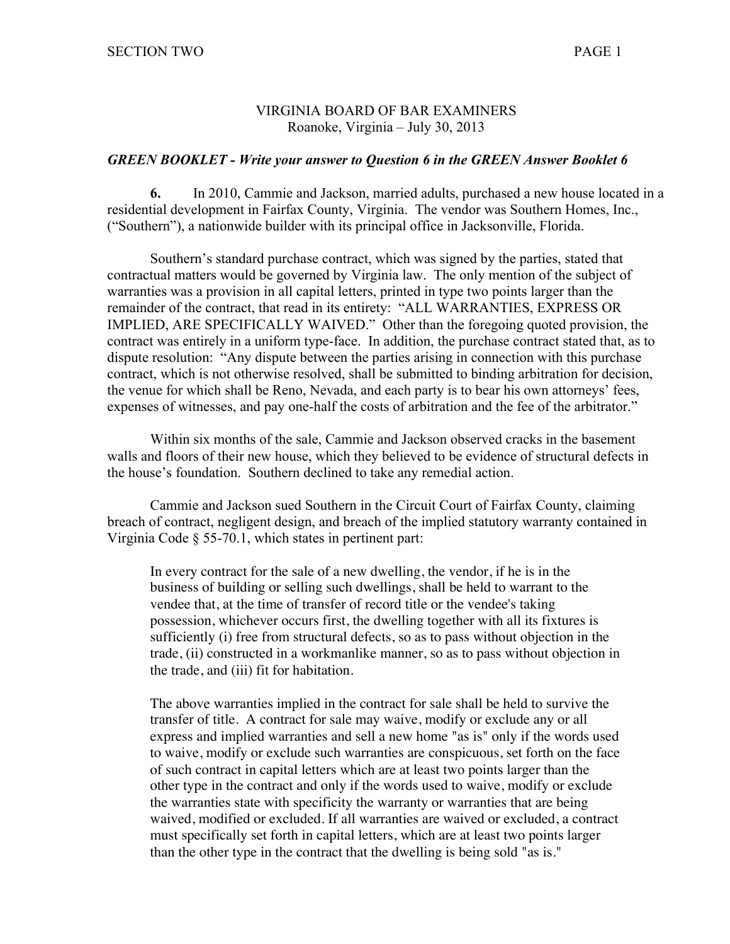### VIRGINIA BOARD OF BAR EXAMINERS Roanoke, Virginia – July 30, 2013

#### *GREEN BOOKLET - Write your answer to Question 6 in the GREEN Answer Booklet 6*

**6.** In 2010, Cammie and Jackson, married adults, purchased a new house located in a residential development in Fairfax County, Virginia. The vendor was Southern Homes, Inc., ("Southern"), a nationwide builder with its principal office in Jacksonville, Florida.

Southern's standard purchase contract, which was signed by the parties, stated that contractual matters would be governed by Virginia law. The only mention of the subject of warranties was a provision in all capital letters, printed in type two points larger than the remainder of the contract, that read in its entirety: "ALL WARRANTIES, EXPRESS OR IMPLIED, ARE SPECIFICALLY WAIVED." Other than the foregoing quoted provision, the contract was entirely in a uniform type-face. In addition, the purchase contract stated that, as to dispute resolution: "Any dispute between the parties arising in connection with this purchase contract, which is not otherwise resolved, shall be submitted to binding arbitration for decision, the venue for which shall be Reno, Nevada, and each party is to bear his own attorneys' fees, expenses of witnesses, and pay one-half the costs of arbitration and the fee of the arbitrator."

Within six months of the sale, Cammie and Jackson observed cracks in the basement walls and floors of their new house, which they believed to be evidence of structural defects in the house's foundation. Southern declined to take any remedial action.

Cammie and Jackson sued Southern in the Circuit Court of Fairfax County, claiming breach of contract, negligent design, and breach of the implied statutory warranty contained in Virginia Code § 55-70.1, which states in pertinent part:

In every contract for the sale of a new dwelling, the vendor, if he is in the business of building or selling such dwellings, shall be held to warrant to the vendee that, at the time of transfer of record title or the vendee's taking possession, whichever occurs first, the dwelling together with all its fixtures is sufficiently (i) free from structural defects, so as to pass without objection in the trade, (ii) constructed in a workmanlike manner, so as to pass without objection in the trade, and (iii) fit for habitation.

The above warranties implied in the contract for sale shall be held to survive the transfer of title. A contract for sale may waive, modify or exclude any or all express and implied warranties and sell a new home "as is" only if the words used to waive, modify or exclude such warranties are conspicuous, set forth on the face of such contract in capital letters which are at least two points larger than the other type in the contract and only if the words used to waive, modify or exclude the warranties state with specificity the warranty or warranties that are being waived, modified or excluded. If all warranties are waived or excluded, a contract must specifically set forth in capital letters, which are at least two points larger than the other type in the contract that the dwelling is being sold "as is."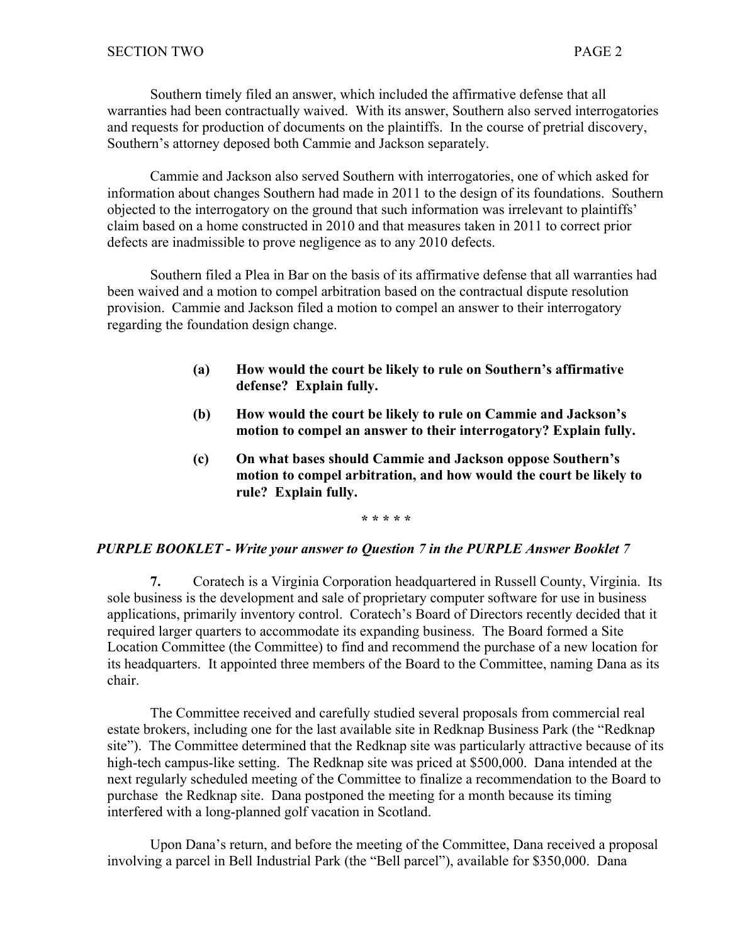Southern timely filed an answer, which included the affirmative defense that all warranties had been contractually waived. With its answer, Southern also served interrogatories and requests for production of documents on the plaintiffs. In the course of pretrial discovery, Southern's attorney deposed both Cammie and Jackson separately.

Cammie and Jackson also served Southern with interrogatories, one of which asked for information about changes Southern had made in 2011 to the design of its foundations. Southern objected to the interrogatory on the ground that such information was irrelevant to plaintiffs' claim based on a home constructed in 2010 and that measures taken in 2011 to correct prior defects are inadmissible to prove negligence as to any 2010 defects.

Southern filed a Plea in Bar on the basis of its affirmative defense that all warranties had been waived and a motion to compel arbitration based on the contractual dispute resolution provision. Cammie and Jackson filed a motion to compel an answer to their interrogatory regarding the foundation design change.

- **(a) How would the court be likely to rule on Southern's affirmative defense? Explain fully.**
- **(b) How would the court be likely to rule on Cammie and Jackson's motion to compel an answer to their interrogatory? Explain fully.**
- **(c) On what bases should Cammie and Jackson oppose Southern's motion to compel arbitration, and how would the court be likely to rule? Explain fully.**

**\* \* \* \* \***

### *PURPLE BOOKLET - Write your answer to Question 7 in the PURPLE Answer Booklet 7*

**7.** Coratech is a Virginia Corporation headquartered in Russell County, Virginia. Its sole business is the development and sale of proprietary computer software for use in business applications, primarily inventory control. Coratech's Board of Directors recently decided that it required larger quarters to accommodate its expanding business. The Board formed a Site Location Committee (the Committee) to find and recommend the purchase of a new location for its headquarters. It appointed three members of the Board to the Committee, naming Dana as its chair.

The Committee received and carefully studied several proposals from commercial real estate brokers, including one for the last available site in Redknap Business Park (the "Redknap site"). The Committee determined that the Redknap site was particularly attractive because of its high-tech campus-like setting. The Redknap site was priced at \$500,000. Dana intended at the next regularly scheduled meeting of the Committee to finalize a recommendation to the Board to purchase the Redknap site. Dana postponed the meeting for a month because its timing interfered with a long-planned golf vacation in Scotland.

Upon Dana's return, and before the meeting of the Committee, Dana received a proposal involving a parcel in Bell Industrial Park (the "Bell parcel"), available for \$350,000. Dana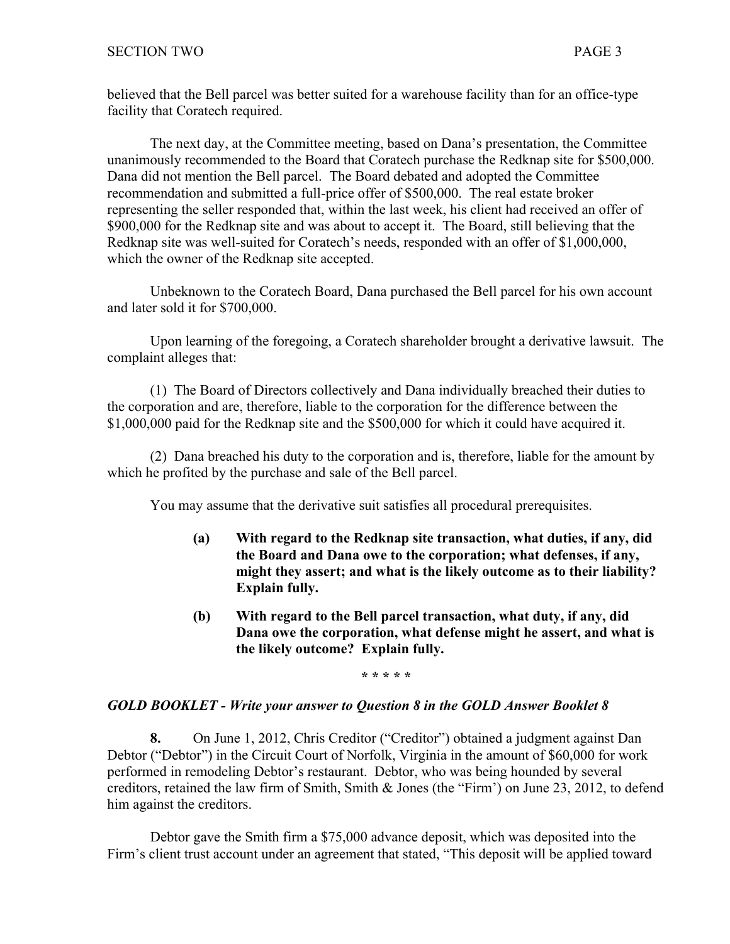believed that the Bell parcel was better suited for a warehouse facility than for an office-type facility that Coratech required.

The next day, at the Committee meeting, based on Dana's presentation, the Committee unanimously recommended to the Board that Coratech purchase the Redknap site for \$500,000. Dana did not mention the Bell parcel. The Board debated and adopted the Committee recommendation and submitted a full-price offer of \$500,000. The real estate broker representing the seller responded that, within the last week, his client had received an offer of \$900,000 for the Redknap site and was about to accept it. The Board, still believing that the Redknap site was well-suited for Coratech's needs, responded with an offer of \$1,000,000, which the owner of the Redknap site accepted.

Unbeknown to the Coratech Board, Dana purchased the Bell parcel for his own account and later sold it for \$700,000.

Upon learning of the foregoing, a Coratech shareholder brought a derivative lawsuit. The complaint alleges that:

(1) The Board of Directors collectively and Dana individually breached their duties to the corporation and are, therefore, liable to the corporation for the difference between the \$1,000,000 paid for the Redknap site and the \$500,000 for which it could have acquired it.

(2) Dana breached his duty to the corporation and is, therefore, liable for the amount by which he profited by the purchase and sale of the Bell parcel.

You may assume that the derivative suit satisfies all procedural prerequisites.

- **(a) With regard to the Redknap site transaction, what duties, if any, did the Board and Dana owe to the corporation; what defenses, if any, might they assert; and what is the likely outcome as to their liability? Explain fully.**
- **(b) With regard to the Bell parcel transaction, what duty, if any, did Dana owe the corporation, what defense might he assert, and what is the likely outcome? Explain fully.**

**\* \* \* \* \***

### *GOLD BOOKLET - Write your answer to Question 8 in the GOLD Answer Booklet 8*

**8.** On June 1, 2012, Chris Creditor ("Creditor") obtained a judgment against Dan Debtor ("Debtor") in the Circuit Court of Norfolk, Virginia in the amount of \$60,000 for work performed in remodeling Debtor's restaurant. Debtor, who was being hounded by several creditors, retained the law firm of Smith, Smith & Jones (the "Firm') on June 23, 2012, to defend him against the creditors.

Debtor gave the Smith firm a \$75,000 advance deposit, which was deposited into the Firm's client trust account under an agreement that stated, "This deposit will be applied toward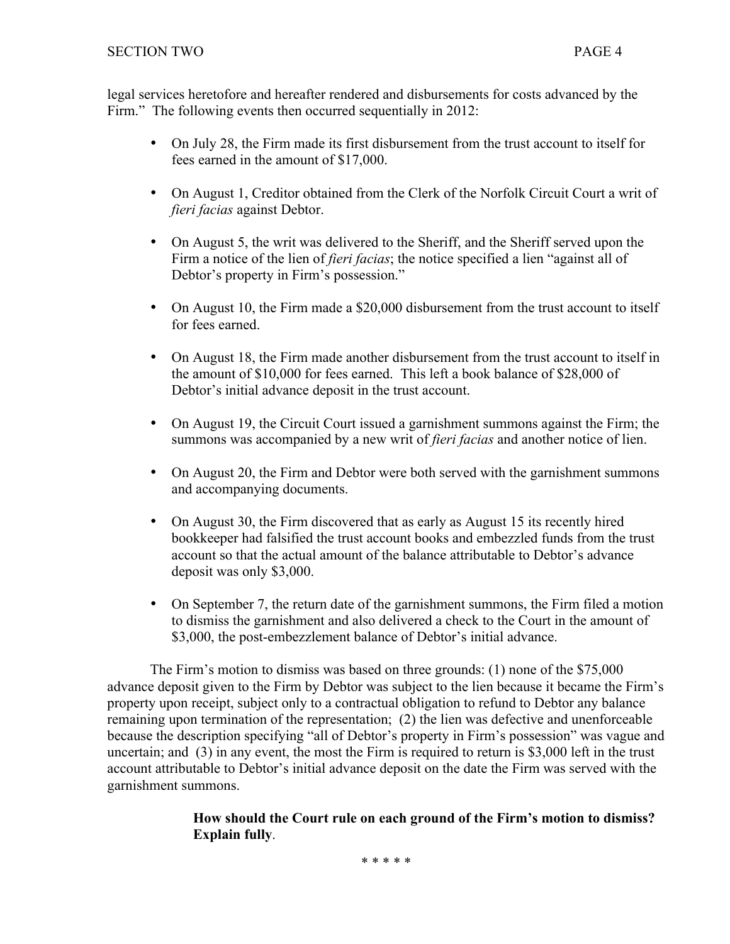legal services heretofore and hereafter rendered and disbursements for costs advanced by the Firm." The following events then occurred sequentially in 2012:

- On July 28, the Firm made its first disbursement from the trust account to itself for fees earned in the amount of \$17,000.
- On August 1, Creditor obtained from the Clerk of the Norfolk Circuit Court a writ of *fieri facias* against Debtor.
- On August 5, the writ was delivered to the Sheriff, and the Sheriff served upon the Firm a notice of the lien of *fieri facias*; the notice specified a lien "against all of Debtor's property in Firm's possession."
- On August 10, the Firm made a \$20,000 disbursement from the trust account to itself for fees earned
- On August 18, the Firm made another disbursement from the trust account to itself in the amount of \$10,000 for fees earned. This left a book balance of \$28,000 of Debtor's initial advance deposit in the trust account.
- On August 19, the Circuit Court issued a garnishment summons against the Firm; the summons was accompanied by a new writ of *fieri facias* and another notice of lien.
- On August 20, the Firm and Debtor were both served with the garnishment summons and accompanying documents.
- On August 30, the Firm discovered that as early as August 15 its recently hired bookkeeper had falsified the trust account books and embezzled funds from the trust account so that the actual amount of the balance attributable to Debtor's advance deposit was only \$3,000.
- On September 7, the return date of the garnishment summons, the Firm filed a motion to dismiss the garnishment and also delivered a check to the Court in the amount of \$3,000, the post-embezzlement balance of Debtor's initial advance.

The Firm's motion to dismiss was based on three grounds: (1) none of the \$75,000 advance deposit given to the Firm by Debtor was subject to the lien because it became the Firm's property upon receipt, subject only to a contractual obligation to refund to Debtor any balance remaining upon termination of the representation; (2) the lien was defective and unenforceable because the description specifying "all of Debtor's property in Firm's possession" was vague and uncertain; and (3) in any event, the most the Firm is required to return is \$3,000 left in the trust account attributable to Debtor's initial advance deposit on the date the Firm was served with the garnishment summons.

## **How should the Court rule on each ground of the Firm's motion to dismiss? Explain fully**.

\* \* \* \* \*